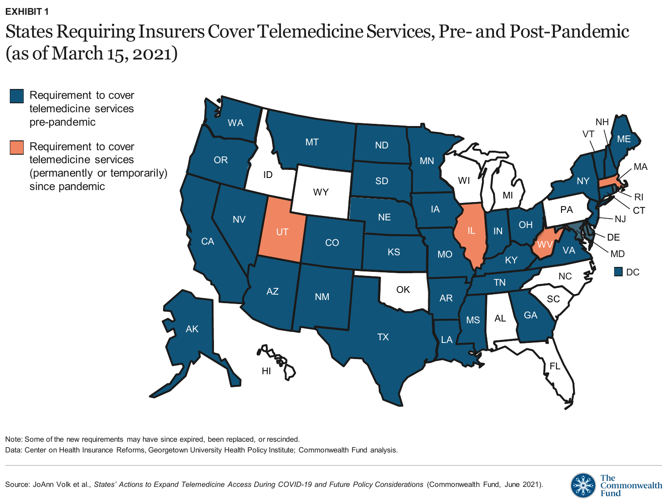## **EXHIBIT 1**

States Requiring Insurers Cover Telemedicine Services, Pre- and Post-Pandemic (as of March 15, 2021)



Note: Some of the new requirements may have since expired, been replaced, or rescinded. Data: Center on Health Insurance Reforms, Georgetown University Health Policy Institute; Commonwealth Fund analysis.

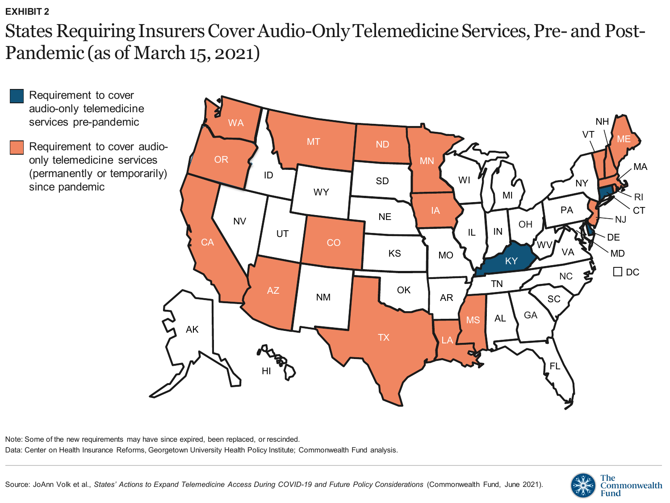```
EXHIBIT 2
```
States Requiring Insurers Cover Audio-Only Telemedicine Services, Pre- and Post-Pandemic (as of March 15, 2021)



Requirement to cover audioonly telemedicine services (permanently or temporarily) since pandemic



Note: Some of the new requirements may have since expired, been replaced, or rescinded. Data: Center on Health Insurance Reforms, Georgetown University Health Policy Institute; Commonwealth Fund analysis.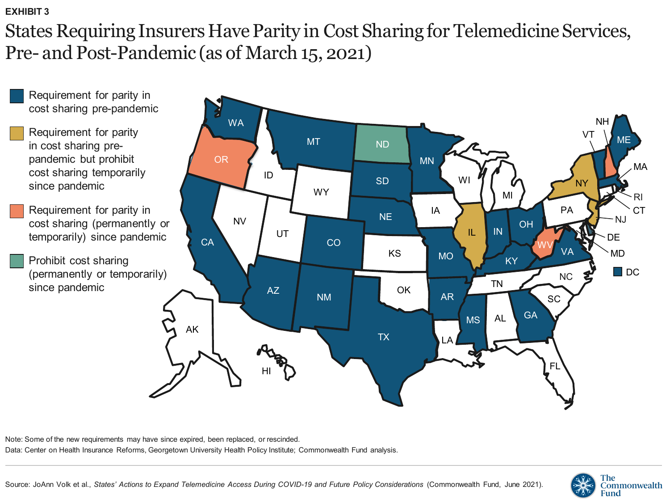## **EXHIBIT 3**

States Requiring Insurers Have Parity in Cost Sharing for Telemedicine Services, Pre- and Post-Pandemic (as of March 15, 2021)



Note: Some of the new requirements may have since expired, been replaced, or rescinded.

Data: Center on Health Insurance Reforms, Georgetown University Health Policy Institute; Commonwealth Fund analysis.